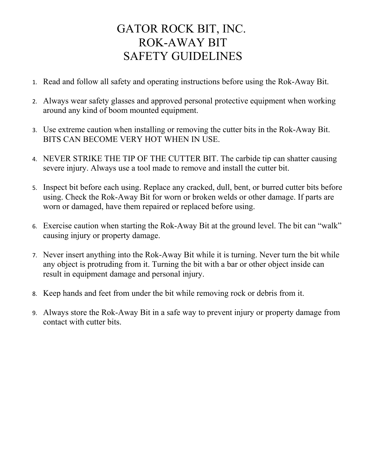## GATOR ROCK BIT, INC. ROK-AWAY BIT SAFETY GUIDELINES

- 1. Read and follow all safety and operating instructions before using the Rok-Away Bit.
- 2. Always wear safety glasses and approved personal protective equipment when working around any kind of boom mounted equipment.
- 3. Use extreme caution when installing or removing the cutter bits in the Rok-Away Bit. BITS CAN BECOME VERY HOT WHEN IN USE.
- 4. NEVER STRIKE THE TIP OF THE CUTTER BIT. The carbide tip can shatter causing severe injury. Always use a tool made to remove and install the cutter bit.
- 5. Inspect bit before each using. Replace any cracked, dull, bent, or burred cutter bits before using. Check the Rok-Away Bit for worn or broken welds or other damage. If parts are worn or damaged, have them repaired or replaced before using.
- 6. Exercise caution when starting the Rok-Away Bit at the ground level. The bit can "walk" causing injury or property damage.
- 7. Never insert anything into the Rok-Away Bit while it is turning. Never turn the bit while any object is protruding from it. Turning the bit with a bar or other object inside can result in equipment damage and personal injury.
- 8. Keep hands and feet from under the bit while removing rock or debris from it.
- 9. Always store the Rok-Away Bit in a safe way to prevent injury or property damage from contact with cutter bits.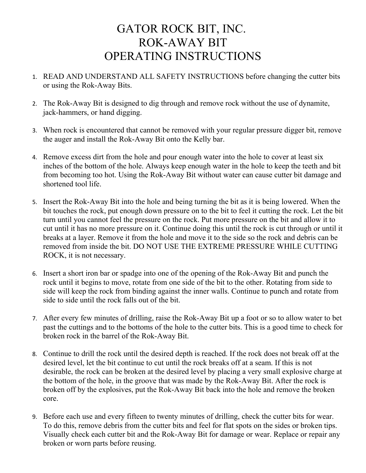## GATOR ROCK BIT, INC. ROK-AWAY BIT OPERATING INSTRUCTIONS

- 1. READ AND UNDERSTAND ALL SAFETY INSTRUCTIONS before changing the cutter bits or using the Rok-Away Bits.
- 2. The Rok-Away Bit is designed to dig through and remove rock without the use of dynamite, jack-hammers, or hand digging.
- 3. When rock is encountered that cannot be removed with your regular pressure digger bit, remove the auger and install the Rok-Away Bit onto the Kelly bar.
- 4. Remove excess dirt from the hole and pour enough water into the hole to cover at least six inches of the bottom of the hole. Always keep enough water in the hole to keep the teeth and bit from becoming too hot. Using the Rok-Away Bit without water can cause cutter bit damage and shortened tool life.
- 5. Insert the Rok-Away Bit into the hole and being turning the bit as it is being lowered. When the bit touches the rock, put enough down pressure on to the bit to feel it cutting the rock. Let the bit turn until you cannot feel the pressure on the rock. Put more pressure on the bit and allow it to cut until it has no more pressure on it. Continue doing this until the rock is cut through or until it breaks at a layer. Remove it from the hole and move it to the side so the rock and debris can be removed from inside the bit. DO NOT USE THE EXTREME PRESSURE WHILE CUTTING ROCK, it is not necessary.
- 6. Insert a short iron bar or spadge into one of the opening of the Rok-Away Bit and punch the rock until it begins to move, rotate from one side of the bit to the other. Rotating from side to side will keep the rock from binding against the inner walls. Continue to punch and rotate from side to side until the rock falls out of the bit.
- 7. After every few minutes of drilling, raise the Rok-Away Bit up a foot or so to allow water to bet past the cuttings and to the bottoms of the hole to the cutter bits. This is a good time to check for broken rock in the barrel of the Rok-Away Bit.
- 8. Continue to drill the rock until the desired depth is reached. If the rock does not break off at the desired level, let the bit continue to cut until the rock breaks off at a seam. If this is not desirable, the rock can be broken at the desired level by placing a very small explosive charge at the bottom of the hole, in the groove that was made by the Rok-Away Bit. After the rock is broken off by the explosives, put the Rok-Away Bit back into the hole and remove the broken core.
- 9. Before each use and every fifteen to twenty minutes of drilling, check the cutter bits for wear. To do this, remove debris from the cutter bits and feel for flat spots on the sides or broken tips. Visually check each cutter bit and the Rok-Away Bit for damage or wear. Replace or repair any broken or worn parts before reusing.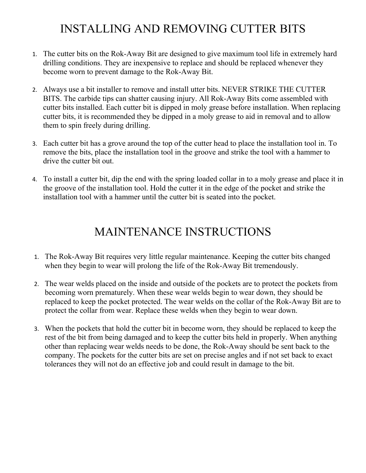# INSTALLING AND REMOVING CUTTER BITS

- 1. The cutter bits on the Rok-Away Bit are designed to give maximum tool life in extremely hard drilling conditions. They are inexpensive to replace and should be replaced whenever they become worn to prevent damage to the Rok-Away Bit.
- 2. Always use a bit installer to remove and install utter bits. NEVER STRIKE THE CUTTER BITS. The carbide tips can shatter causing injury. All Rok-Away Bits come assembled with cutter bits installed. Each cutter bit is dipped in moly grease before installation. When replacing cutter bits, it is recommended they be dipped in a moly grease to aid in removal and to allow them to spin freely during drilling.
- 3. Each cutter bit has a grove around the top of the cutter head to place the installation tool in. To remove the bits, place the installation tool in the groove and strike the tool with a hammer to drive the cutter bit out.
- 4. To install a cutter bit, dip the end with the spring loaded collar in to a moly grease and place it in the groove of the installation tool. Hold the cutter it in the edge of the pocket and strike the installation tool with a hammer until the cutter bit is seated into the pocket.

# MAINTENANCE INSTRUCTIONS

- 1. The Rok-Away Bit requires very little regular maintenance. Keeping the cutter bits changed when they begin to wear will prolong the life of the Rok-Away Bit tremendously.
- 2. The wear welds placed on the inside and outside of the pockets are to protect the pockets from becoming worn prematurely. When these wear welds begin to wear down, they should be replaced to keep the pocket protected. The wear welds on the collar of the Rok-Away Bit are to protect the collar from wear. Replace these welds when they begin to wear down.
- 3. When the pockets that hold the cutter bit in become worn, they should be replaced to keep the rest of the bit from being damaged and to keep the cutter bits held in properly. When anything other than replacing wear welds needs to be done, the Rok-Away should be sent back to the company. The pockets for the cutter bits are set on precise angles and if not set back to exact tolerances they will not do an effective job and could result in damage to the bit.